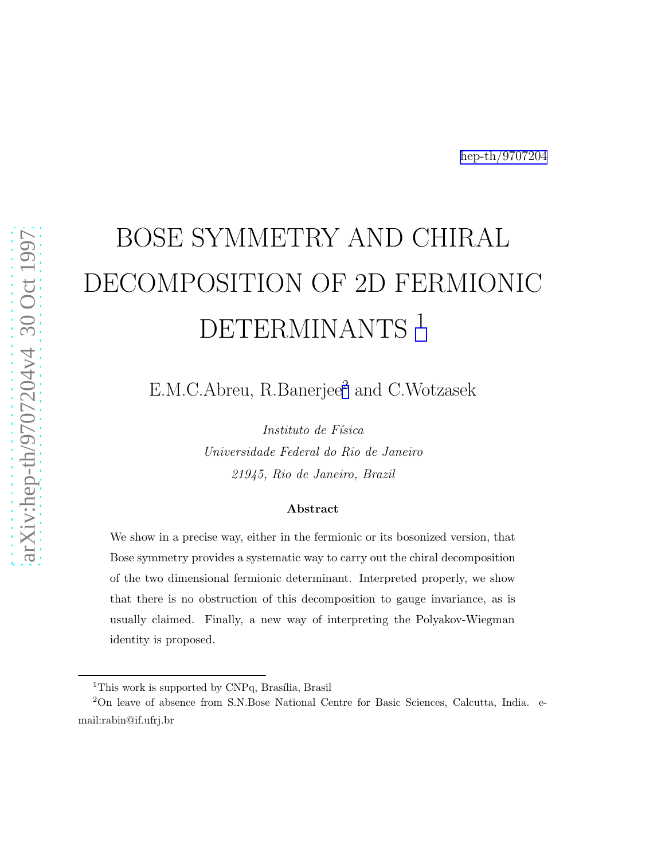## BOSE SYMMETRY AND CHIRAL DECOMPOSITION OF 2D FERMIONIC DETERMINANTS<sup>1</sup>

E.M.C.Abreu, R.Banerjee<sup>2</sup> and C.Wotzasek

Instituto de Física Universidade Federal do Rio de Janeiro 21945, Rio de Janeiro, Brazil

## Abstract

We show in a precise way, either in the fermionic or its bosonized version, that Bose symmetry provides a systematic way to carry out the chiral decomposition of the two dimensional fermionic determinant. Interpreted properly, we show that there is no obstruction of this decomposition to gauge invariance, as is usually claimed. Finally, a new way of interpreting the Polyakov-Wiegman identity is proposed.

<sup>&</sup>lt;sup>1</sup>This work is supported by CNPq, Brasília, Brasil

<sup>2</sup>On leave of absence from S.N.Bose National Centre for Basic Sciences, Calcutta, India. email:rabin@if.ufrj.br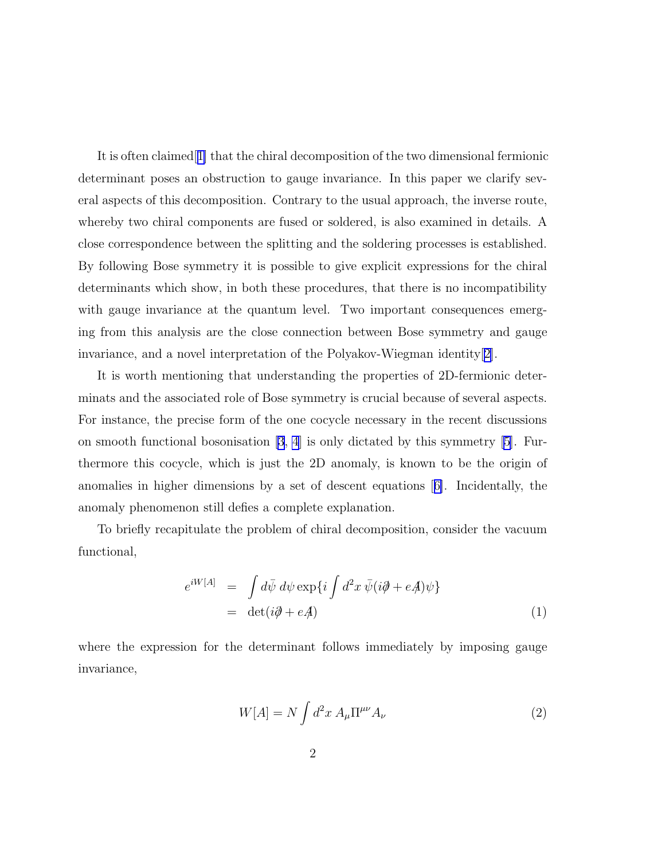<span id="page-1-0"></span>It is often claimed[[1\]](#page-15-0) that the chiral decomposition of the two dimensional fermionic determinant poses an obstruction to gauge invariance. In this paper we clarify several aspects of this decomposition. Contrary to the usual approach, the inverse route, whereby two chiral components are fused or soldered, is also examined in details. A close correspondence between the splitting and the soldering processes is established. By following Bose symmetry it is possible to give explicit expressions for the chiral determinants which show, in both these procedures, that there is no incompatibility with gauge invariance at the quantum level. Two important consequences emerging from this analysis are the close connection between Bose symmetry and gauge invariance, and a novel interpretation of the Polyakov-Wiegman identity[[2\]](#page-15-0).

It is worth mentioning that understanding the properties of 2D-fermionic determinats and the associated role of Bose symmetry is crucial because of several aspects. For instance, the precise form of the one cocycle necessary in the recent discussions on smooth functional bosonisation [\[3](#page-15-0), [4](#page-15-0)] is only dictated by this symmetry [\[5\]](#page-15-0). Furthermore this cocycle, which is just the 2D anomaly, is known to be the origin of anomalies in higher dimensions by a set of descent equations[[6\]](#page-15-0). Incidentally, the anomaly phenomenon still defies a complete explanation.

To briefly recapitulate the problem of chiral decomposition, consider the vacuum functional,

$$
e^{iW[A]} = \int d\bar{\psi} \ d\psi \exp\{i \int d^2x \ \bar{\psi}(i\partial \!\!\!/ + e\!\!\!\! A)\psi\}
$$
  
= det(i\partial \!\!\!/ + e\!\!\!\! A) (1)

where the expression for the determinant follows immediately by imposing gauge invariance,

$$
W[A] = N \int d^2x A_\mu \Pi^{\mu\nu} A_\nu \tag{2}
$$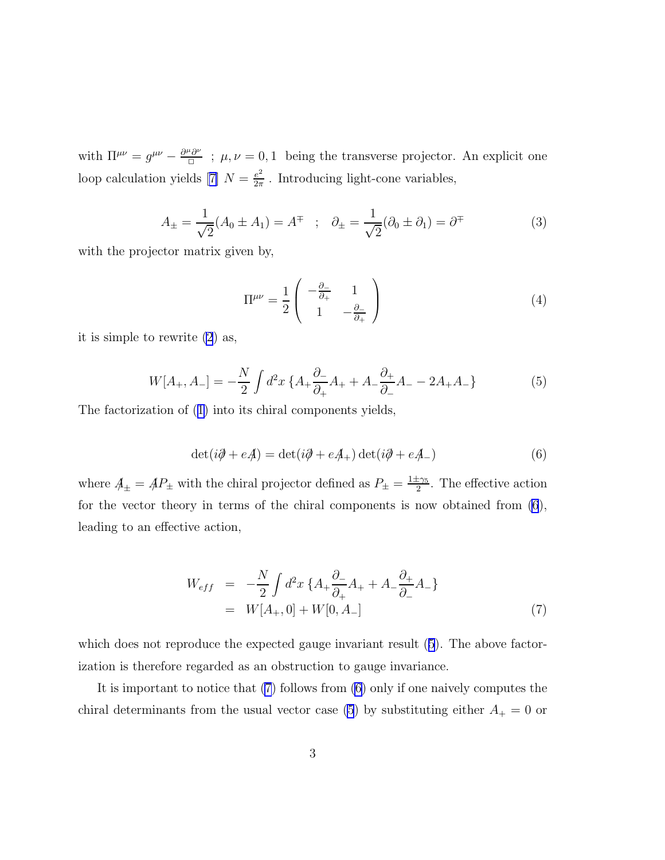<span id="page-2-0"></span>with  $\Pi^{\mu\nu} = g^{\mu\nu} - \frac{\partial^{\mu}\partial^{\nu}}{\Box}$ ;  $\mu, \nu = 0, 1$  being the transverse projector. An explicit one loopcalculation yields [[7\]](#page-15-0)  $N = \frac{e^2}{2\pi}$  $\frac{e^2}{2\pi}$ . Introducing light-cone variables,

$$
A_{\pm} = \frac{1}{\sqrt{2}} (A_0 \pm A_1) = A^{\mp} \quad ; \quad \partial_{\pm} = \frac{1}{\sqrt{2}} (\partial_0 \pm \partial_1) = \partial^{\mp} \tag{3}
$$

with the projector matrix given by,

$$
\Pi^{\mu\nu} = \frac{1}{2} \begin{pmatrix} -\frac{\partial_{-}}{\partial_{+}} & 1\\ 1 & -\frac{\partial_{-}}{\partial_{+}} \end{pmatrix}
$$
 (4)

it is simple to rewrite [\(2](#page-1-0)) as,

$$
W[A_+, A_-] = -\frac{N}{2} \int d^2x \left\{ A_+ \frac{\partial_-}{\partial_+} A_+ + A_- \frac{\partial_+}{\partial_-} A_- - 2A_+ A_- \right\} \tag{5}
$$

The factorization of([1\)](#page-1-0) into its chiral components yields,

$$
\det(i\partial + e\mathcal{A}) = \det(i\partial + e\mathcal{A}_+) \det(i\partial + e\mathcal{A}_-)
$$
\n(6)

where  $A_{\pm} = AP_{\pm}$  with the chiral projector defined as  $P_{\pm} = \frac{1 \pm \gamma_5}{2}$ . The effective action for the vector theory in terms of the chiral components is now obtained from (6), leading to an effective action,

$$
W_{eff} = -\frac{N}{2} \int d^2x \left\{ A_+ \frac{\partial_-}{\partial_+} A_+ + A_- \frac{\partial_+}{\partial_-} A_- \right\}
$$
  
=  $W[A_+, 0] + W[0, A_-]$  (7)

which does not reproduce the expected gauge invariant result  $(5)$ . The above factorization is therefore regarded as an obstruction to gauge invariance.

It is important to notice that (7) follows from (6) only if one naively computes the chiral determinants from the usual vector case (5) by substituting either  $A_+ = 0$  or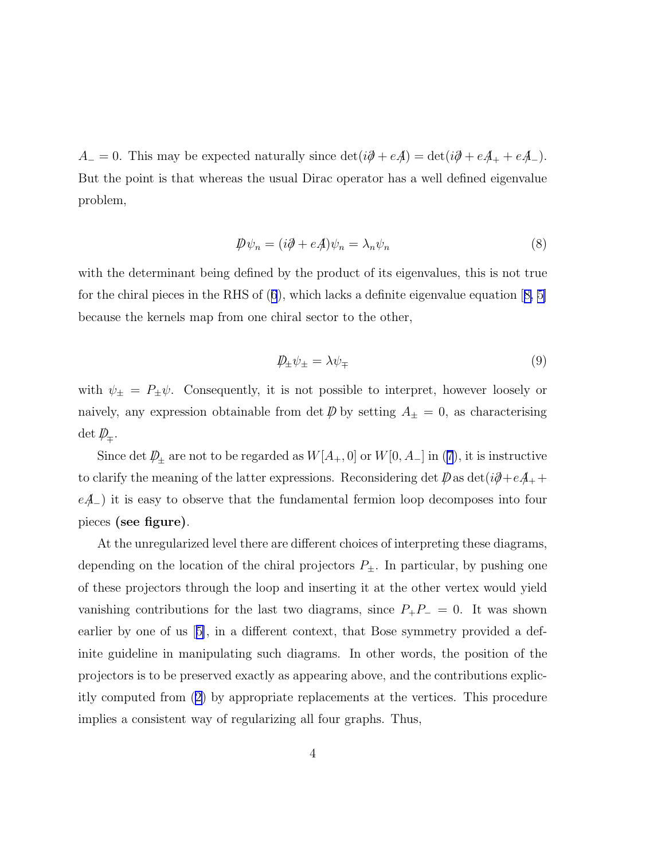$A_-=0$ . This may be expected naturally since  $\det(i\partial \!\!\!/ + e\!\!\!\! A)=\det(i\partial \!\!\!/ + e\!\!\!\! A_+ + e\!\!\!\! A_-).$ But the point is that whereas the usual Dirac operator has a well defined eigenvalue problem,

$$
\mathcal{D}\psi_n = (i\partial + e\mathcal{A})\psi_n = \lambda_n \psi_n \tag{8}
$$

with the determinant being defined by the product of its eigenvalues, this is not true forthe chiral pieces in the RHS of  $(6)$  $(6)$  $(6)$ , which lacks a definite eigenvalue equation  $[8, 5]$  $[8, 5]$ because the kernels map from one chiral sector to the other,

$$
\psi_{\pm}\psi_{\pm} = \lambda\psi_{\mp} \tag{9}
$$

with  $\psi_{\pm} = P_{\pm} \psi$ . Consequently, it is not possible to interpret, however loosely or naively, any expression obtainable from det  $\bar{\psi}$  by setting  $A_{\pm} = 0$ , as characterising  $\det D_{\!\mp}$ .

Sincedet  $D_{\pm}$  are not to be regarded as  $W[A_{+}, 0]$  or  $W[0, A_{-}]$  in ([7](#page-2-0)), it is instructive to clarify the meaning of the latter expressions. Reconsidering det  $\mathcal{D}$  as det $(i\partial + e\mathcal{A}_+ +$  $eA_{-}$ ) it is easy to observe that the fundamental fermion loop decomposes into four pieces (see figure).

At the unregularized level there are different choices of interpreting these diagrams, depending on the location of the chiral projectors  $P_{\pm}$ . In particular, by pushing one of these projectors through the loop and inserting it at the other vertex would yield vanishing contributions for the last two diagrams, since  $P_+P_-=0$ . It was shown earlier by one of us[[5\]](#page-15-0), in a different context, that Bose symmetry provided a definite guideline in manipulating such diagrams. In other words, the position of the projectors is to be preserved exactly as appearing above, and the contributions explicitly computed from([2\)](#page-1-0) by appropriate replacements at the vertices. This procedure implies a consistent way of regularizing all four graphs. Thus,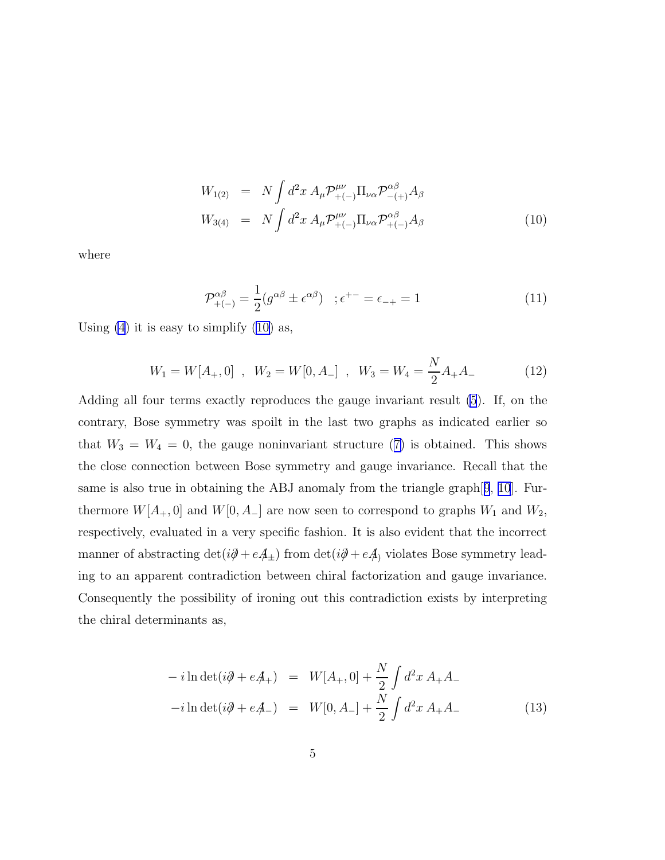$$
W_{1(2)} = N \int d^2x A_{\mu} \mathcal{P}_{+(-)}^{\mu\nu} \Pi_{\nu\alpha} \mathcal{P}_{-(+)}^{\alpha\beta} A_{\beta}
$$
  
\n
$$
W_{3(4)} = N \int d^2x A_{\mu} \mathcal{P}_{+(-)}^{\mu\nu} \Pi_{\nu\alpha} \mathcal{P}_{+(-)}^{\alpha\beta} A_{\beta}
$$
\n(10)

<span id="page-4-0"></span>where

$$
\mathcal{P}_{+(-)}^{\alpha\beta} = \frac{1}{2} (g^{\alpha\beta} \pm \epsilon^{\alpha\beta}) \quad ; \epsilon^{+-} = \epsilon_{-+} = 1 \tag{11}
$$

Using  $(4)$  it is easy to simplify  $(10)$  as,

$$
W_1 = W[A_+, 0] \, , \, W_2 = W[0, A_-] \, , \, W_3 = W_4 = \frac{N}{2}A_+A_- \tag{12}
$$

Adding all four terms exactly reproduces the gauge invariant result [\(5](#page-2-0)). If, on the contrary, Bose symmetry was spoilt in the last two graphs as indicated earlier so that $W_3 = W_4 = 0$ , the gauge noninvariant structure ([7\)](#page-2-0) is obtained. This shows the close connection between Bose symmetry and gauge invariance. Recall that the same is also true in obtaining the ABJ anomaly from the triangle graph[[9](#page-15-0), [10](#page-15-0)]. Furthermore  $W[A_+, 0]$  and  $W[0, A_-]$  are now seen to correspond to graphs  $W_1$  and  $W_2$ , respectively, evaluated in a very specific fashion. It is also evident that the incorrect manner of abstracting  $det(i\partial + eA_{\pm})$  from  $det(i\partial + eA)$  violates Bose symmetry leading to an apparent contradiction between chiral factorization and gauge invariance. Consequently the possibility of ironing out this contradiction exists by interpreting the chiral determinants as,

$$
-i\ln \det(i\partial + e\mathcal{A}_+) = W[A_+,0] + \frac{N}{2} \int d^2x \, A_+ A_- -i\ln \det(i\partial + e\mathcal{A}_-) = W[0,A_-] + \frac{N}{2} \int d^2x \, A_+ A_-
$$
 (13)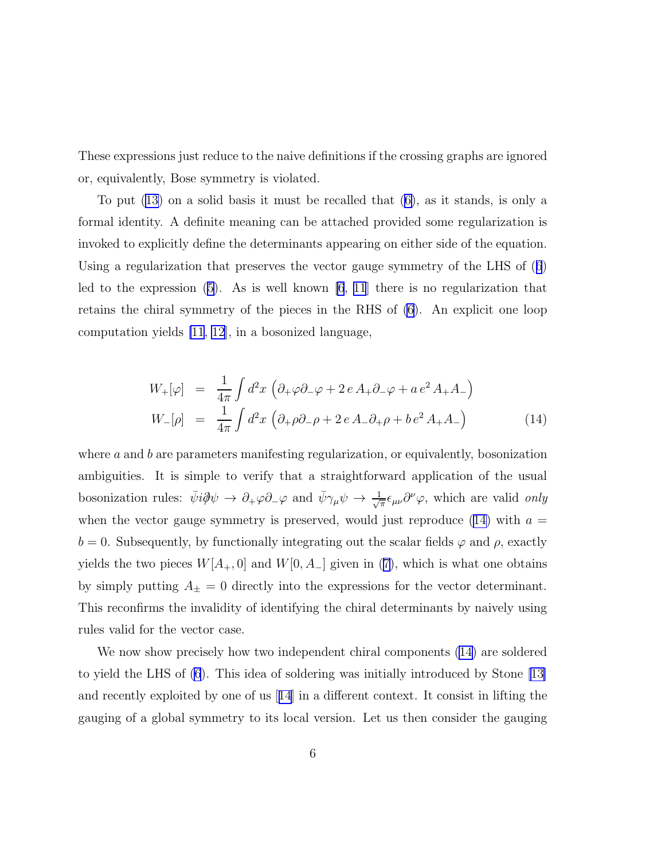<span id="page-5-0"></span>These expressions just reduce to the naive definitions if the crossing graphs are ignored or, equivalently, Bose symmetry is violated.

To put [\(13\)](#page-4-0) on a solid basis it must be recalled that([6\)](#page-2-0), as it stands, is only a formal identity. A definite meaning can be attached provided some regularization is invoked to explicitly define the determinants appearing on either side of the equation. Using a regularization that preserves the vector gauge symmetry of the LHS of([6](#page-2-0)) led to the expression  $(5)$ . As is well known  $[6, 11]$  $[6, 11]$  $[6, 11]$  there is no regularization that retains the chiral symmetry of the pieces in the RHS of [\(6](#page-2-0)). An explicit one loop computation yields [\[11](#page-15-0), [12\]](#page-15-0), in a bosonized language,

$$
W_{+}[\varphi] = \frac{1}{4\pi} \int d^{2}x \left( \partial_{+} \varphi \partial_{-} \varphi + 2 e A_{+} \partial_{-} \varphi + a e^{2} A_{+} A_{-} \right)
$$
  
\n
$$
W_{-}[\rho] = \frac{1}{4\pi} \int d^{2}x \left( \partial_{+} \rho \partial_{-} \rho + 2 e A_{-} \partial_{+} \rho + b e^{2} A_{+} A_{-} \right)
$$
(14)

where  $\alpha$  and  $\beta$  are parameters manifesting regularization, or equivalently, bosonization ambiguities. It is simple to verify that a straightforward application of the usual bosonization rules:  $\bar{\psi}i\partial \psi \to \partial_{+}\varphi\partial_{-}\varphi$  and  $\bar{\psi}\gamma_{\mu}\psi \to \frac{1}{\sqrt{2}}$  $\frac{1}{\pi} \epsilon_{\mu\nu} \partial^{\nu} \varphi$ , which are valid only when the vector gauge symmetry is preserved, would just reproduce (14) with  $a =$  $b = 0$ . Subsequently, by functionally integrating out the scalar fields  $\varphi$  and  $\rho$ , exactly yields the two pieces  $W[A_+, 0]$  and  $W[0, A_-]$  given in [\(7\)](#page-2-0), which is what one obtains by simply putting  $A_{\pm} = 0$  directly into the expressions for the vector determinant. This reconfirms the invalidity of identifying the chiral determinants by naively using rules valid for the vector case.

We now show precisely how two independent chiral components  $(14)$  are soldered to yield the LHS of [\(6](#page-2-0)). This idea of soldering was initially introduced by Stone [\[13\]](#page-15-0) and recently exploited by one of us[[14](#page-16-0)] in a different context. It consist in lifting the gauging of a global symmetry to its local version. Let us then consider the gauging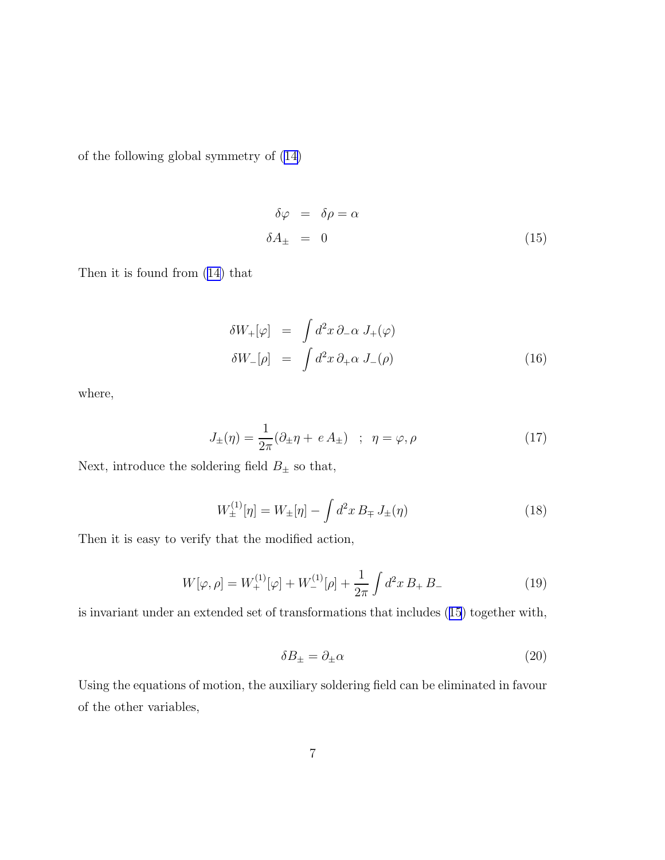<span id="page-6-0"></span>of the following global symmetry of([14\)](#page-5-0)

$$
\delta \varphi = \delta \rho = \alpha \n\delta A_{\pm} = 0
$$
\n(15)

Then it is found from [\(14\)](#page-5-0) that

$$
\delta W_{+}[\varphi] = \int d^{2}x \, \partial_{-}\alpha \, J_{+}(\varphi)
$$
  
\n
$$
\delta W_{-}[\rho] = \int d^{2}x \, \partial_{+}\alpha \, J_{-}(\rho)
$$
\n(16)

where,

$$
J_{\pm}(\eta) = \frac{1}{2\pi} (\partial_{\pm} \eta + e A_{\pm}) \quad ; \quad \eta = \varphi, \rho \tag{17}
$$

Next, introduce the soldering field  $B_\pm$  so that,

$$
W_{\pm}^{(1)}[\eta] = W_{\pm}[\eta] - \int d^2x \, B_{\mp} \, J_{\pm}(\eta) \tag{18}
$$

Then it is easy to verify that the modified action,

$$
W[\varphi,\rho] = W_+^{(1)}[\varphi] + W_-^{(1)}[\rho] + \frac{1}{2\pi} \int d^2x \, B_+ \, B_- \tag{19}
$$

is invariant under an extended set of transformations that includes (15) together with,

$$
\delta B_{\pm} = \partial_{\pm} \alpha \tag{20}
$$

Using the equations of motion, the auxiliary soldering field can be eliminated in favour of the other variables,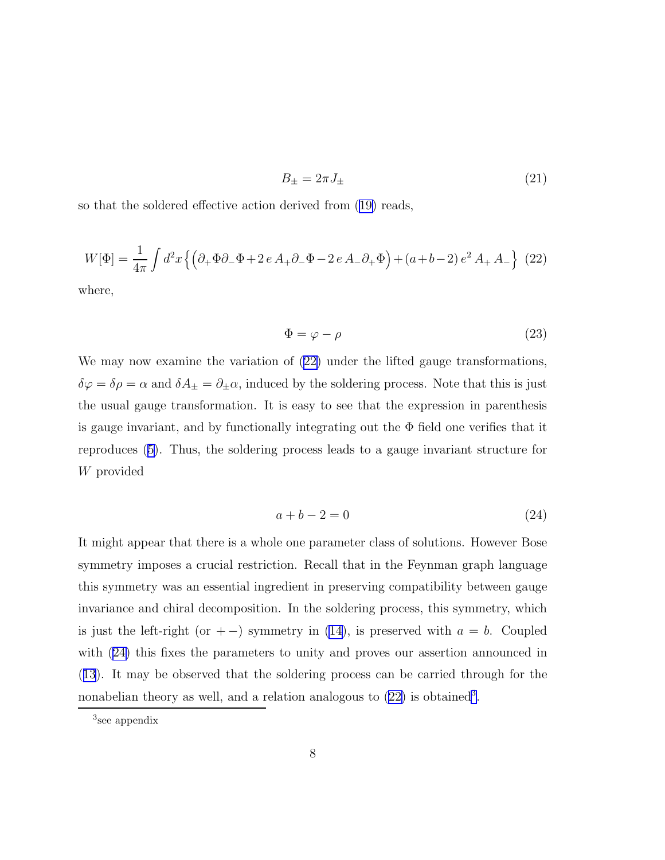$$
B_{\pm} = 2\pi J_{\pm} \tag{21}
$$

<span id="page-7-0"></span>so that the soldered effective action derived from([19\)](#page-6-0) reads,

$$
W[\Phi] = \frac{1}{4\pi} \int d^2x \left\{ \left( \partial_+ \Phi \partial_- \Phi + 2 e A_+ \partial_- \Phi - 2 e A_- \partial_+ \Phi \right) + (a + b - 2) e^2 A_+ A_- \right\} (22)
$$

where,

$$
\Phi = \varphi - \rho \tag{23}
$$

We may now examine the variation of  $(22)$  under the lifted gauge transformations,  $\delta\varphi = \delta\rho = \alpha$  and  $\delta A_{\pm} = \partial_{\pm}\alpha$ , induced by the soldering process. Note that this is just the usual gauge transformation. It is easy to see that the expression in parenthesis is gauge invariant, and by functionally integrating out the  $\Phi$  field one verifies that it reproduces([5\)](#page-2-0). Thus, the soldering process leads to a gauge invariant structure for W provided

$$
a+b-2=0\tag{24}
$$

It might appear that there is a whole one parameter class of solutions. However Bose symmetry imposes a crucial restriction. Recall that in the Feynman graph language this symmetry was an essential ingredient in preserving compatibility between gauge invariance and chiral decomposition. In the soldering process, this symmetry, which is just the left-right (or + −) symmetry in [\(14](#page-5-0)), is preserved with  $a = b$ . Coupled with (24) this fixes the parameters to unity and proves our assertion announced in ([13](#page-4-0)). It may be observed that the soldering process can be carried through for the nonabelian theory as well, and a relation analogous to  $(22)$  is obtained<sup>3</sup>.

<sup>3</sup> see appendix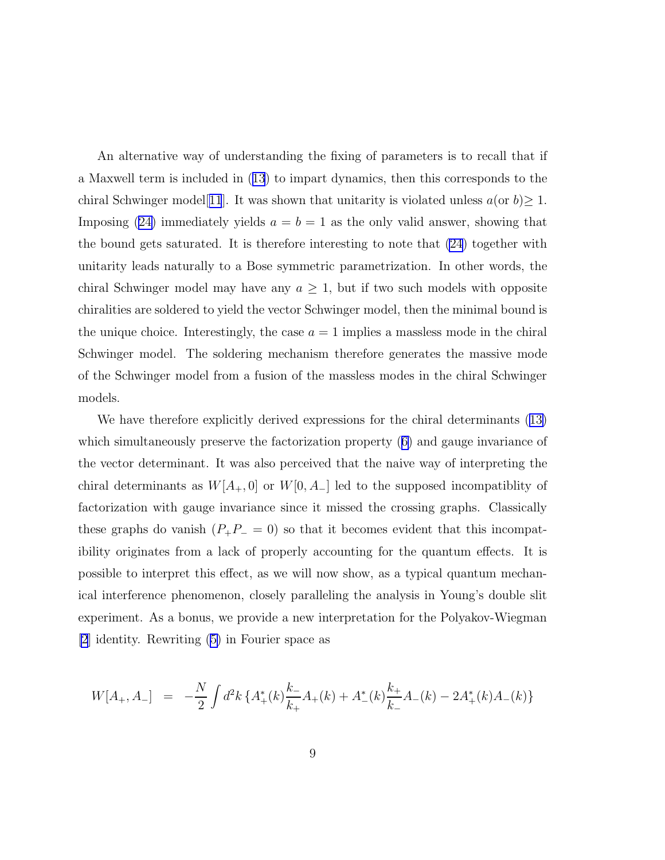<span id="page-8-0"></span>An alternative way of understanding the fixing of parameters is to recall that if a Maxwell term is included in([13](#page-4-0)) to impart dynamics, then this corresponds to the chiral Schwinger model[[11](#page-15-0)]. It was shown that unitarity is violated unless  $a$ (or  $b$ ) $\geq 1$ . Imposing([24\)](#page-7-0) immediately yields  $a = b = 1$  as the only valid answer, showing that the bound gets saturated. It is therefore interesting to note that [\(24](#page-7-0)) together with unitarity leads naturally to a Bose symmetric parametrization. In other words, the chiral Schwinger model may have any  $a \geq 1$ , but if two such models with opposite chiralities are soldered to yield the vector Schwinger model, then the minimal bound is the unique choice. Interestingly, the case  $a = 1$  implies a massless mode in the chiral Schwinger model. The soldering mechanism therefore generates the massive mode of the Schwinger model from a fusion of the massless modes in the chiral Schwinger models.

We have therefore explicitly derived expressions for the chiral determinants([13\)](#page-4-0) which simultaneously preserve the factorization property([6\)](#page-2-0) and gauge invariance of the vector determinant. It was also perceived that the naive way of interpreting the chiral determinants as  $W[A_+, 0]$  or  $W[0, A_-]$  led to the supposed incompatiblity of factorization with gauge invariance since it missed the crossing graphs. Classically these graphs do vanish  $(P_+P_- = 0)$  so that it becomes evident that this incompatibility originates from a lack of properly accounting for the quantum effects. It is possible to interpret this effect, as we will now show, as a typical quantum mechanical interference phenomenon, closely paralleling the analysis in Young's double slit experiment. As a bonus, we provide a new interpretation for the Polyakov-Wiegman [\[2](#page-15-0)] identity. Rewriting([5\)](#page-2-0) in Fourier space as

$$
W[A_+, A_-] = -\frac{N}{2} \int d^2k \left\{ A_+^*(k) \frac{k_-}{k_+} A_+(k) + A_-^*(k) \frac{k_+}{k_-} A_-(k) - 2A_+^*(k) A_-(k) \right\}
$$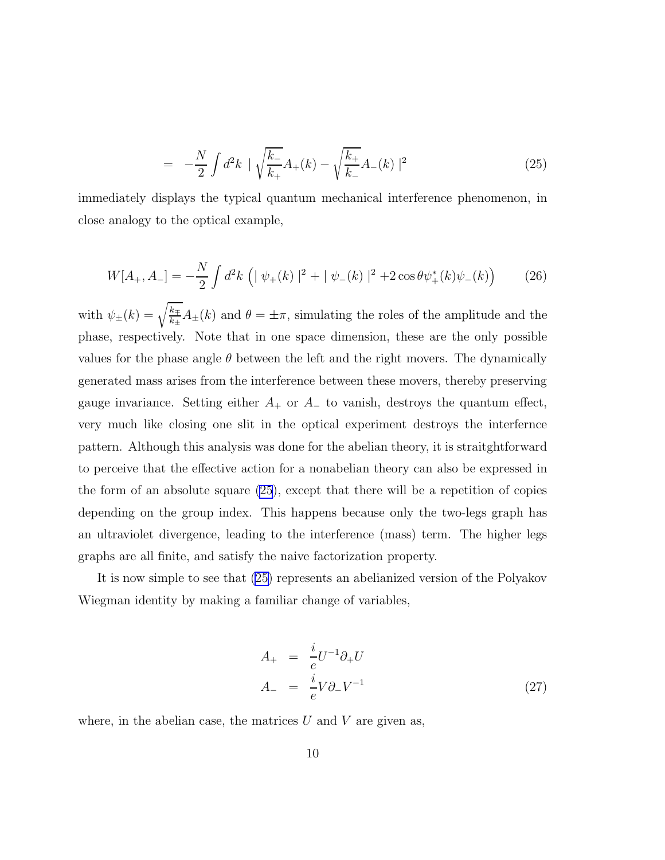$$
= -\frac{N}{2} \int d^2k \, \mid \sqrt{\frac{k_-}{k_+}} A_+(k) - \sqrt{\frac{k_+}{k_-}} A_-(k) \mid^2 \tag{25}
$$

immediately displays the typical quantum mechanical interference phenomenon, in close analogy to the optical example,

$$
W[A_+, A_-] = -\frac{N}{2} \int d^2k \, \left( |\psi_+(k)|^2 + |\psi_-(k)|^2 + 2\cos\theta \psi_+^*(k)\psi_-(k) \right) \tag{26}
$$

with  $\psi_{\pm}(k) = \sqrt{\frac{k_{\pm}}{k_{\pm}}}$  $\frac{k_{\pm}}{k_{\pm}}A_{\pm}(k)$  and  $\theta = \pm \pi$ , simulating the roles of the amplitude and the phase, respectively. Note that in one space dimension, these are the only possible values for the phase angle  $\theta$  between the left and the right movers. The dynamically generated mass arises from the interference between these movers, thereby preserving gauge invariance. Setting either  $A_+$  or  $A_-$  to vanish, destroys the quantum effect, very much like closing one slit in the optical experiment destroys the interfernce pattern. Although this analysis was done for the abelian theory, it is straitghtforward to perceive that the effective action for a nonabelian theory can also be expressed in the form of an absolute square [\(25](#page-8-0)), except that there will be a repetition of copies depending on the group index. This happens because only the two-legs graph has an ultraviolet divergence, leading to the interference (mass) term. The higher legs graphs are all finite, and satisfy the naive factorization property.

It is now simple to see that [\(25\)](#page-8-0) represents an abelianized version of the Polyakov Wiegman identity by making a familiar change of variables,

$$
A_{+} = \frac{i}{e} U^{-1} \partial_{+} U
$$
  
\n
$$
A_{-} = \frac{i}{e} V \partial_{-} V^{-1}
$$
\n(27)

where, in the abelian case, the matrices  $U$  and  $V$  are given as,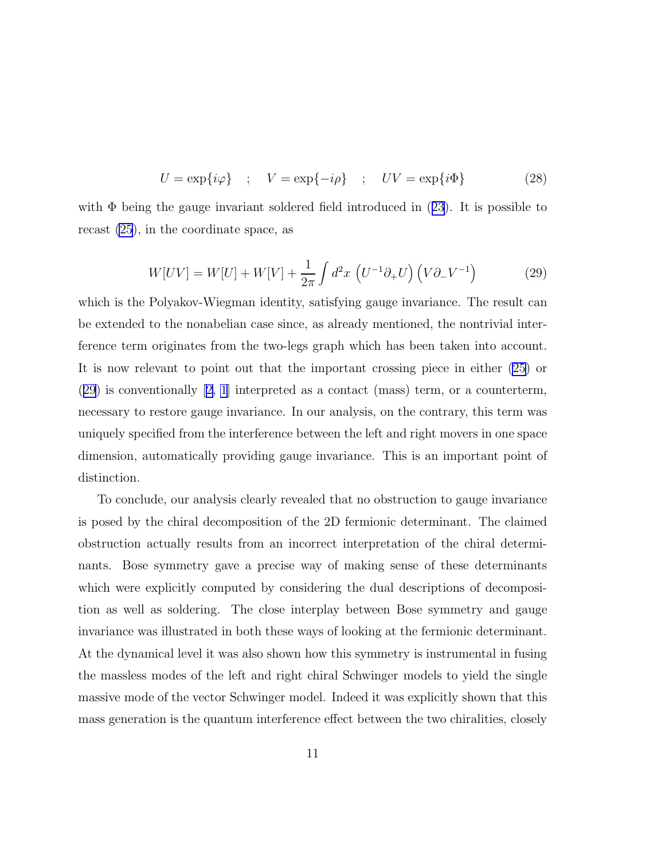$$
U = \exp\{i\varphi\} \quad ; \quad V = \exp\{-i\rho\} \quad ; \quad UV = \exp\{i\Phi\} \tag{28}
$$

with $\Phi$  being the gauge invariant soldered field introduced in ([23](#page-7-0)). It is possible to recast [\(25](#page-8-0)), in the coordinate space, as

$$
W[UV] = W[U] + W[V] + \frac{1}{2\pi} \int d^2x \left( U^{-1} \partial_+ U \right) \left( V \partial_- V^{-1} \right) \tag{29}
$$

which is the Polyakov-Wiegman identity, satisfying gauge invariance. The result can be extended to the nonabelian case since, as already mentioned, the nontrivial interference term originates from the two-legs graph which has been taken into account. It is now relevant to point out that the important crossing piece in either [\(25](#page-8-0)) or (29) is conventionally[[2, 1](#page-15-0)] interpreted as a contact (mass) term, or a counterterm, necessary to restore gauge invariance. In our analysis, on the contrary, this term was uniquely specified from the interference between the left and right movers in one space dimension, automatically providing gauge invariance. This is an important point of distinction.

To conclude, our analysis clearly revealed that no obstruction to gauge invariance is posed by the chiral decomposition of the 2D fermionic determinant. The claimed obstruction actually results from an incorrect interpretation of the chiral determinants. Bose symmetry gave a precise way of making sense of these determinants which were explicitly computed by considering the dual descriptions of decomposition as well as soldering. The close interplay between Bose symmetry and gauge invariance was illustrated in both these ways of looking at the fermionic determinant. At the dynamical level it was also shown how this symmetry is instrumental in fusing the massless modes of the left and right chiral Schwinger models to yield the single massive mode of the vector Schwinger model. Indeed it was explicitly shown that this mass generation is the quantum interference effect between the two chiralities, closely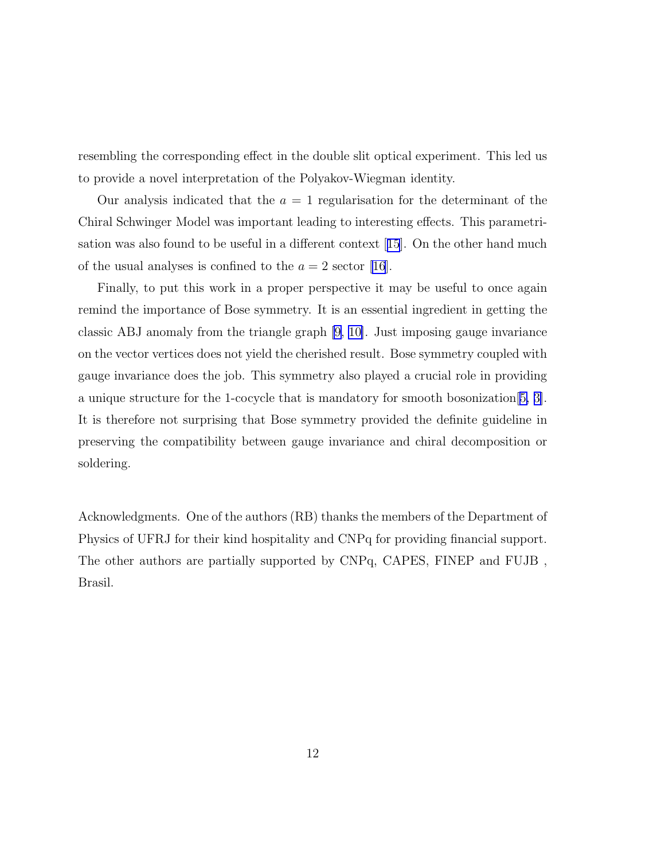resembling the corresponding effect in the double slit optical experiment. This led us to provide a novel interpretation of the Polyakov-Wiegman identity.

Our analysis indicated that the  $a = 1$  regularisation for the determinant of the Chiral Schwinger Model was important leading to interesting effects. This parametrisation was also found to be useful in a different context[[15](#page-16-0)]. On the other hand much of the usual analyses is confined to the  $a = 2$  sector [\[16\]](#page-16-0).

Finally, to put this work in a proper perspective it may be useful to once again remind the importance of Bose symmetry. It is an essential ingredient in getting the classic ABJ anomaly from the triangle graph [\[9](#page-15-0), [10\]](#page-15-0). Just imposing gauge invariance on the vector vertices does not yield the cherished result. Bose symmetry coupled with gauge invariance does the job. This symmetry also played a crucial role in providing a unique structure for the 1-cocycle that is mandatory for smooth bosonization[[5, 3\]](#page-15-0). It is therefore not surprising that Bose symmetry provided the definite guideline in preserving the compatibility between gauge invariance and chiral decomposition or soldering.

Acknowledgments. One of the authors (RB) thanks the members of the Department of Physics of UFRJ for their kind hospitality and CNPq for providing financial support. The other authors are partially supported by CNPq, CAPES, FINEP and FUJB , Brasil.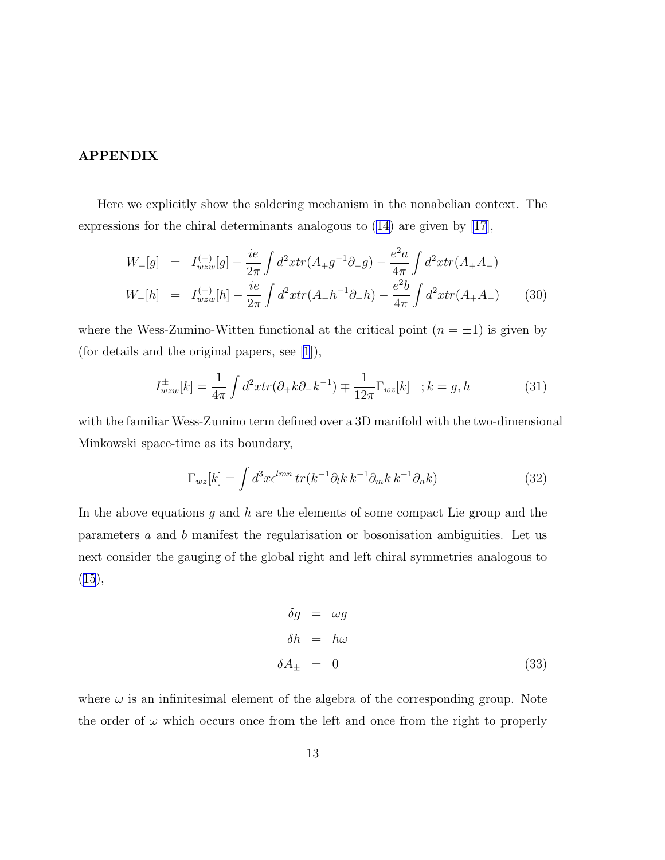## <span id="page-12-0"></span>APPENDIX

Here we explicitly show the soldering mechanism in the nonabelian context. The expressions for the chiral determinants analogous to([14\)](#page-5-0) are given by [\[17](#page-16-0)],

$$
W_{+}[g] = I_{wzw}^{(-)}[g] - \frac{ie}{2\pi} \int d^{2}x tr(A_{+}g^{-1}\partial_{-}g) - \frac{e^{2}a}{4\pi} \int d^{2}x tr(A_{+}A_{-})
$$
  
\n
$$
W_{-}[h] = I_{wzw}^{(+)}[h] - \frac{ie}{2\pi} \int d^{2}x tr(A_{-}h^{-1}\partial_{+}h) - \frac{e^{2}b}{4\pi} \int d^{2}x tr(A_{+}A_{-})
$$
(30)

where the Wess-Zumino-Witten functional at the critical point  $(n = \pm 1)$  is given by (for details and the original papers, see[[1](#page-15-0)]),

$$
I_{wzw}^{\pm}[k] = \frac{1}{4\pi} \int d^2x tr(\partial_+ k \partial_- k^{-1}) \mp \frac{1}{12\pi} \Gamma_{wz}[k] \quad ; k = g, h \tag{31}
$$

with the familiar Wess-Zumino term defined over a 3D manifold with the two-dimensional Minkowski space-time as its boundary,

$$
\Gamma_{wz}[k] = \int d^3x \epsilon^{lmn} \, tr(k^{-1}\partial_l k \, k^{-1}\partial_m k \, k^{-1}\partial_n k) \tag{32}
$$

In the above equations g and h are the elements of some compact Lie group and the parameters a and b manifest the regularisation or bosonisation ambiguities. Let us next consider the gauging of the global right and left chiral symmetries analogous to  $(15),$  $(15),$  $(15),$ 

$$
\delta g = \omega g
$$
  
\n
$$
\delta h = h\omega
$$
  
\n
$$
\delta A_{\pm} = 0
$$
\n(33)

where  $\omega$  is an infinitesimal element of the algebra of the corresponding group. Note the order of  $\omega$  which occurs once from the left and once from the right to properly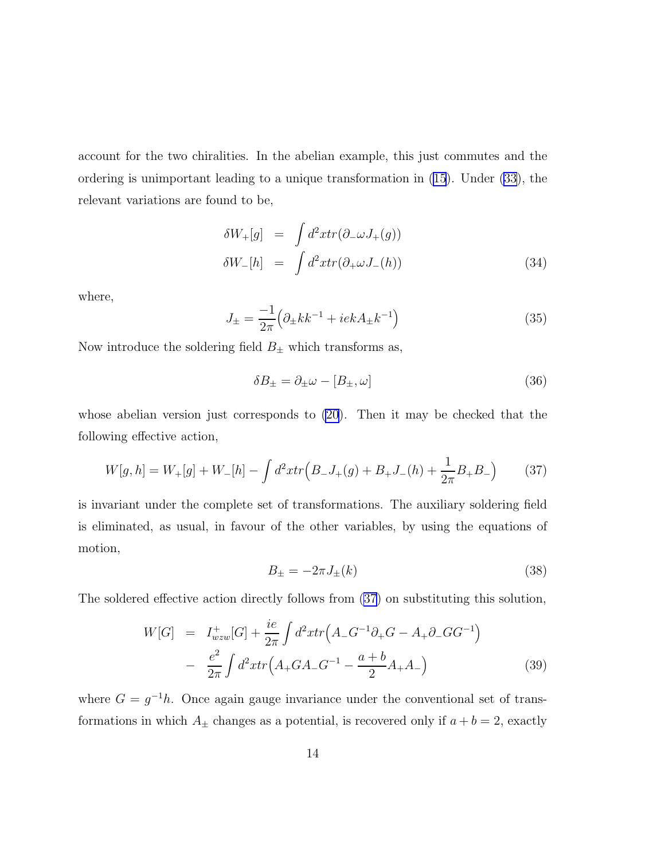<span id="page-13-0"></span>account for the two chiralities. In the abelian example, this just commutes and the ordering is unimportant leading to a unique transformation in [\(15\)](#page-6-0). Under [\(33](#page-12-0)), the relevant variations are found to be,

$$
\delta W_{+}[g] = \int d^{2}x tr(\partial_{-}\omega J_{+}(g))
$$
  
\n
$$
\delta W_{-}[h] = \int d^{2}x tr(\partial_{+}\omega J_{-}(h))
$$
\n(34)

where,

$$
J_{\pm} = \frac{-1}{2\pi} \left( \partial_{\pm} k k^{-1} + i e k A_{\pm} k^{-1} \right) \tag{35}
$$

Now introduce the soldering field  $B_{\pm}$  which transforms as,

$$
\delta B_{\pm} = \partial_{\pm} \omega - [B_{\pm}, \omega] \tag{36}
$$

whose abelian version just corresponds to [\(20](#page-6-0)). Then it may be checked that the following effective action,

$$
W[g,h] = W_+[g] + W_-[h] - \int d^2x \, tr\left(B_-J_+(g) + B_+J_-(h) + \frac{1}{2\pi}B_+B_-\right) \tag{37}
$$

is invariant under the complete set of transformations. The auxiliary soldering field is eliminated, as usual, in favour of the other variables, by using the equations of motion,

$$
B_{\pm} = -2\pi J_{\pm}(k) \tag{38}
$$

The soldered effective action directly follows from (37) on substituting this solution,

$$
W[G] = I_{wzw}^{+}[G] + \frac{ie}{2\pi} \int d^{2}x tr\left(A_{-}G^{-1}\partial_{+}G - A_{+}\partial_{-}GG^{-1}\right)
$$

$$
- \frac{e^{2}}{2\pi} \int d^{2}x tr\left(A_{+}G A_{-}G^{-1} - \frac{a+b}{2}A_{+}A_{-}\right)
$$
(39)

where  $G = g^{-1}h$ . Once again gauge invariance under the conventional set of transformations in which  $A_{\pm}$  changes as a potential, is recovered only if  $a + b = 2$ , exactly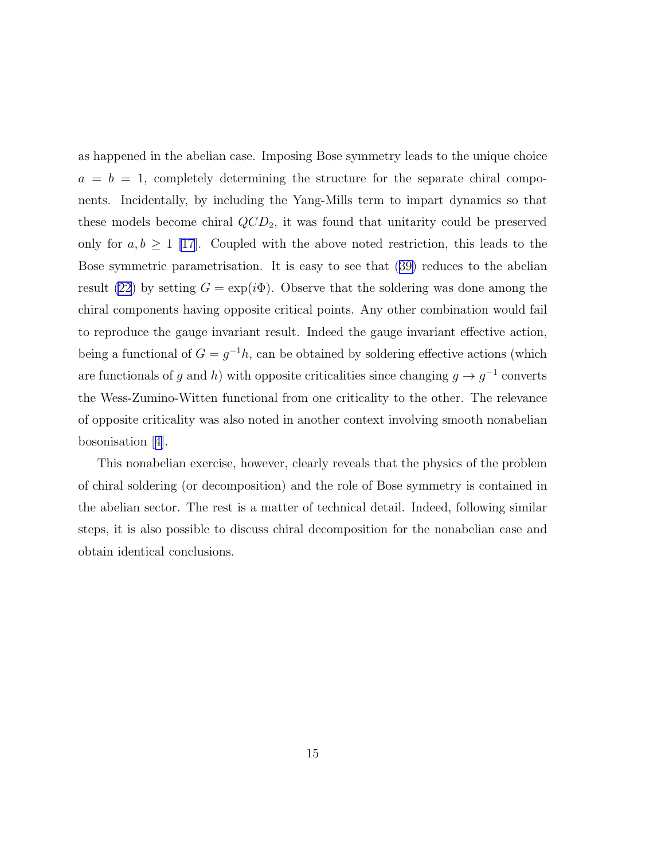as happened in the abelian case. Imposing Bose symmetry leads to the unique choice  $a = b = 1$ , completely determining the structure for the separate chiral components. Incidentally, by including the Yang-Mills term to impart dynamics so that these models become chiral  $QCD_2$ , it was found that unitarity could be preserved only for  $a, b \ge 1$  [\[17](#page-16-0)]. Coupled with the above noted restriction, this leads to the Bose symmetric parametrisation. It is easy to see that([39\)](#page-13-0) reduces to the abelian result [\(22](#page-7-0)) by setting  $G = \exp(i\Phi)$ . Observe that the soldering was done among the chiral components having opposite critical points. Any other combination would fail to reproduce the gauge invariant result. Indeed the gauge invariant effective action, being a functional of  $G = g^{-1}h$ , can be obtained by soldering effective actions (which are functionals of g and h) with opposite criticalities since changing  $g \to g^{-1}$  converts the Wess-Zumino-Witten functional from one criticality to the other. The relevance of opposite criticality was also noted in another context involving smooth nonabelian bosonisation[[4\]](#page-15-0).

This nonabelian exercise, however, clearly reveals that the physics of the problem of chiral soldering (or decomposition) and the role of Bose symmetry is contained in the abelian sector. The rest is a matter of technical detail. Indeed, following similar steps, it is also possible to discuss chiral decomposition for the nonabelian case and obtain identical conclusions.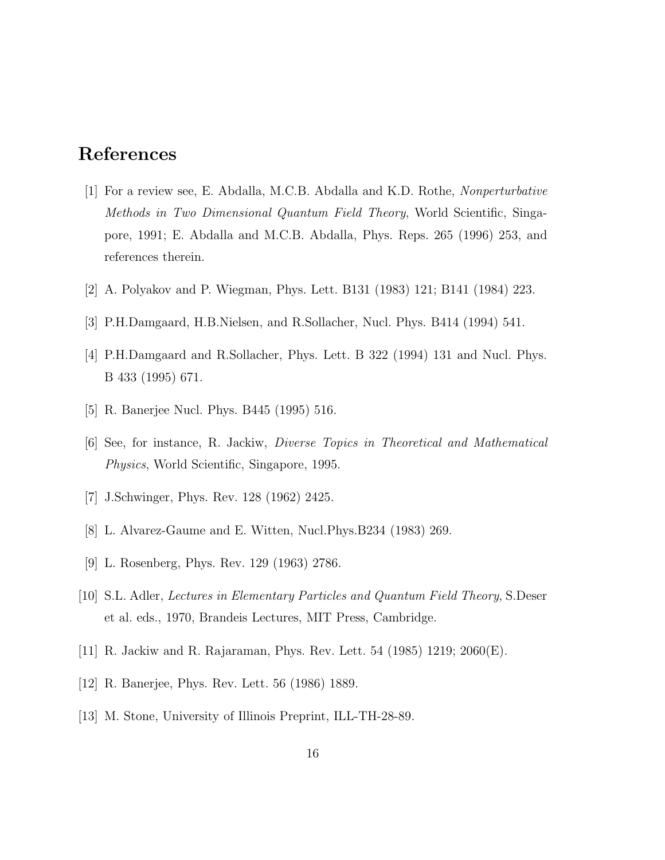## <span id="page-15-0"></span>References

- [1] For a review see, E. Abdalla, M.C.B. Abdalla and K.D. Rothe, Nonperturbative Methods in Two Dimensional Quantum Field Theory, World Scientific, Singapore, 1991; E. Abdalla and M.C.B. Abdalla, Phys. Reps. 265 (1996) 253, and references therein.
- [2] A. Polyakov and P. Wiegman, Phys. Lett. B131 (1983) 121; B141 (1984) 223.
- [3] P.H.Damgaard, H.B.Nielsen, and R.Sollacher, Nucl. Phys. B414 (1994) 541.
- [4] P.H.Damgaard and R.Sollacher, Phys. Lett. B 322 (1994) 131 and Nucl. Phys. B 433 (1995) 671.
- [5] R. Banerjee Nucl. Phys. B445 (1995) 516.
- [6] See, for instance, R. Jackiw, Diverse Topics in Theoretical and Mathematical Physics, World Scientific, Singapore, 1995.
- [7] J.Schwinger, Phys. Rev. 128 (1962) 2425.
- [8] L. Alvarez-Gaume and E. Witten, Nucl.Phys.B234 (1983) 269.
- [9] L. Rosenberg, Phys. Rev. 129 (1963) 2786.
- [10] S.L. Adler, Lectures in Elementary Particles and Quantum Field Theory, S.Deser et al. eds., 1970, Brandeis Lectures, MIT Press, Cambridge.
- [11] R. Jackiw and R. Rajaraman, Phys. Rev. Lett. 54 (1985) 1219; 2060(E).
- [12] R. Banerjee, Phys. Rev. Lett. 56 (1986) 1889.
- [13] M. Stone, University of Illinois Preprint, ILL-TH-28-89.